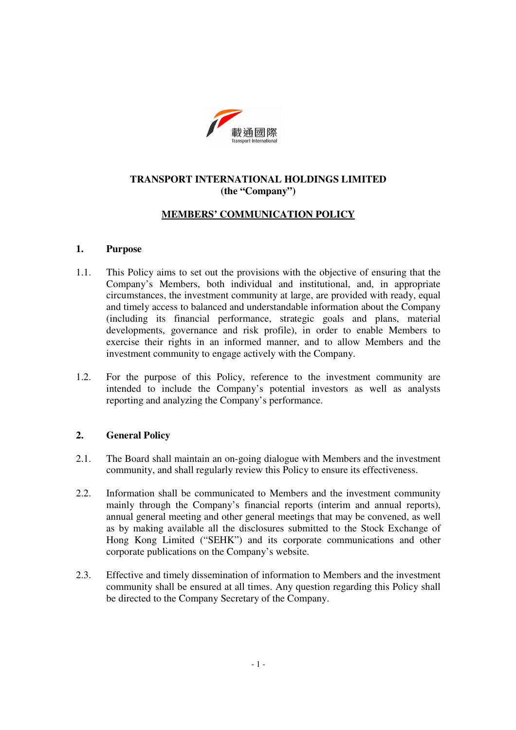

# **TRANSPORT INTERNATIONAL HOLDINGS LIMITED (the "Company")**

## **MEMBERS' COMMUNICATION POLICY**

### **1. Purpose**

- 1.1. This Policy aims to set out the provisions with the objective of ensuring that the Company's Members, both individual and institutional, and, in appropriate circumstances, the investment community at large, are provided with ready, equal and timely access to balanced and understandable information about the Company (including its financial performance, strategic goals and plans, material developments, governance and risk profile), in order to enable Members to exercise their rights in an informed manner, and to allow Members and the investment community to engage actively with the Company.
- 1.2. For the purpose of this Policy, reference to the investment community are intended to include the Company's potential investors as well as analysts reporting and analyzing the Company's performance.

## **2. General Policy**

- 2.1. The Board shall maintain an on-going dialogue with Members and the investment community, and shall regularly review this Policy to ensure its effectiveness.
- 2.2. Information shall be communicated to Members and the investment community mainly through the Company's financial reports (interim and annual reports), annual general meeting and other general meetings that may be convened, as well as by making available all the disclosures submitted to the Stock Exchange of Hong Kong Limited ("SEHK") and its corporate communications and other corporate publications on the Company's website.
- 2.3. Effective and timely dissemination of information to Members and the investment community shall be ensured at all times. Any question regarding this Policy shall be directed to the Company Secretary of the Company.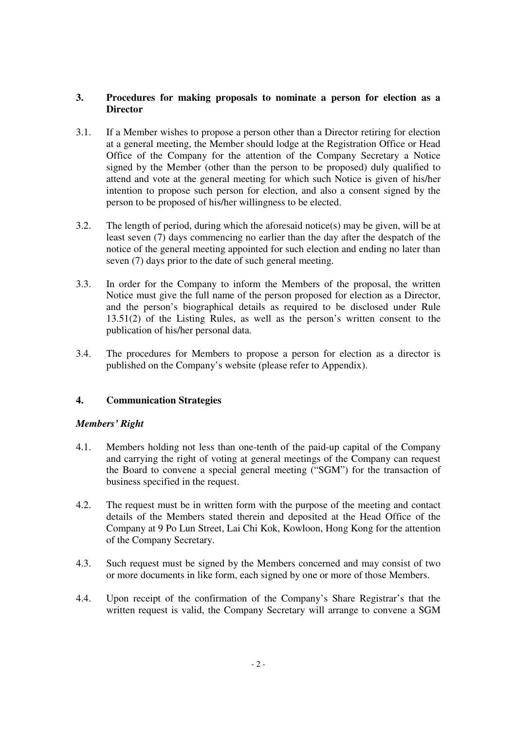## **3. Procedures for making proposals to nominate a person for election as a Director**

- 3.1. If a Member wishes to propose a person other than a Director retiring for election at a general meeting, the Member should lodge at the Registration Office or Head Office of the Company for the attention of the Company Secretary a Notice signed by the Member (other than the person to be proposed) duly qualified to attend and vote at the general meeting for which such Notice is given of his/her intention to propose such person for election, and also a consent signed by the person to be proposed of his/her willingness to be elected.
- 3.2. The length of period, during which the aforesaid notice(s) may be given, will be at least seven (7) days commencing no earlier than the day after the despatch of the notice of the general meeting appointed for such election and ending no later than seven (7) days prior to the date of such general meeting.
- 3.3. In order for the Company to inform the Members of the proposal, the written Notice must give the full name of the person proposed for election as a Director, and the person's biographical details as required to be disclosed under Rule 13.51(2) of the Listing Rules, as well as the person's written consent to the publication of his/her personal data.
- 3.4. The procedures for Members to propose a person for election as a director is published on the Company's website (please refer to Appendix).

# **4. Communication Strategies**

## *Members' Right*

- 4.1. Members holding not less than one-tenth of the paid-up capital of the Company and carrying the right of voting at general meetings of the Company can request the Board to convene a special general meeting ("SGM") for the transaction of business specified in the request.
- 4.2. The request must be in written form with the purpose of the meeting and contact details of the Members stated therein and deposited at the Head Office of the Company at 9 Po Lun Street, Lai Chi Kok, Kowloon, Hong Kong for the attention of the Company Secretary.
- 4.3. Such request must be signed by the Members concerned and may consist of two or more documents in like form, each signed by one or more of those Members.
- 4.4. Upon receipt of the confirmation of the Company's Share Registrar's that the written request is valid, the Company Secretary will arrange to convene a SGM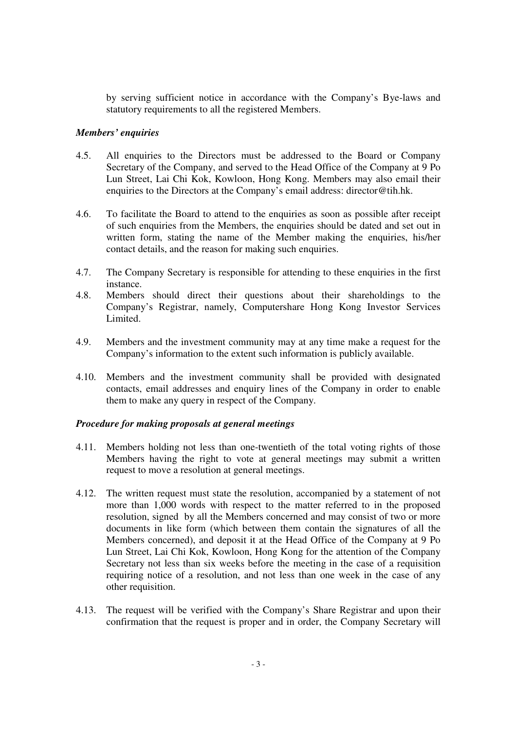by serving sufficient notice in accordance with the Company's Bye-laws and statutory requirements to all the registered Members.

## *Members' enquiries*

- 4.5. All enquiries to the Directors must be addressed to the Board or Company Secretary of the Company, and served to the Head Office of the Company at 9 Po Lun Street, Lai Chi Kok, Kowloon, Hong Kong. Members may also email their enquiries to the Directors at the Company's email address: director@tih.hk.
- 4.6. To facilitate the Board to attend to the enquiries as soon as possible after receipt of such enquiries from the Members, the enquiries should be dated and set out in written form, stating the name of the Member making the enquiries, his/her contact details, and the reason for making such enquiries.
- 4.7. The Company Secretary is responsible for attending to these enquiries in the first instance.
- 4.8. Members should direct their questions about their shareholdings to the Company's Registrar, namely, Computershare Hong Kong Investor Services Limited.
- 4.9. Members and the investment community may at any time make a request for the Company's information to the extent such information is publicly available.
- 4.10. Members and the investment community shall be provided with designated contacts, email addresses and enquiry lines of the Company in order to enable them to make any query in respect of the Company.

#### *Procedure for making proposals at general meetings*

- 4.11. Members holding not less than one-twentieth of the total voting rights of those Members having the right to vote at general meetings may submit a written request to move a resolution at general meetings.
- 4.12. The written request must state the resolution, accompanied by a statement of not more than 1,000 words with respect to the matter referred to in the proposed resolution, signed by all the Members concerned and may consist of two or more documents in like form (which between them contain the signatures of all the Members concerned), and deposit it at the Head Office of the Company at 9 Po Lun Street, Lai Chi Kok, Kowloon, Hong Kong for the attention of the Company Secretary not less than six weeks before the meeting in the case of a requisition requiring notice of a resolution, and not less than one week in the case of any other requisition.
- 4.13. The request will be verified with the Company's Share Registrar and upon their confirmation that the request is proper and in order, the Company Secretary will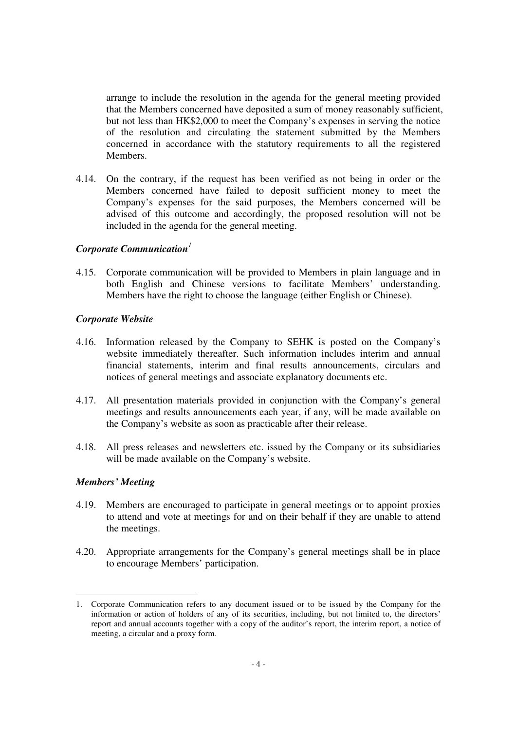arrange to include the resolution in the agenda for the general meeting provided that the Members concerned have deposited a sum of money reasonably sufficient, but not less than HK\$2,000 to meet the Company's expenses in serving the notice of the resolution and circulating the statement submitted by the Members concerned in accordance with the statutory requirements to all the registered Members.

4.14. On the contrary, if the request has been verified as not being in order or the Members concerned have failed to deposit sufficient money to meet the Company's expenses for the said purposes, the Members concerned will be advised of this outcome and accordingly, the proposed resolution will not be included in the agenda for the general meeting.

#### *Corporate Communication<sup>1</sup>*

4.15. Corporate communication will be provided to Members in plain language and in both English and Chinese versions to facilitate Members' understanding. Members have the right to choose the language (either English or Chinese).

### *Corporate Website*

- 4.16. Information released by the Company to SEHK is posted on the Company's website immediately thereafter. Such information includes interim and annual financial statements, interim and final results announcements, circulars and notices of general meetings and associate explanatory documents etc.
- 4.17. All presentation materials provided in conjunction with the Company's general meetings and results announcements each year, if any, will be made available on the Company's website as soon as practicable after their release.
- 4.18. All press releases and newsletters etc. issued by the Company or its subsidiaries will be made available on the Company's website.

#### *Members' Meeting*

- 4.19. Members are encouraged to participate in general meetings or to appoint proxies to attend and vote at meetings for and on their behalf if they are unable to attend the meetings.
- 4.20. Appropriate arrangements for the Company's general meetings shall be in place to encourage Members' participation.

<sup>-</sup>1. Corporate Communication refers to any document issued or to be issued by the Company for the information or action of holders of any of its securities, including, but not limited to, the directors' report and annual accounts together with a copy of the auditor's report, the interim report, a notice of meeting, a circular and a proxy form.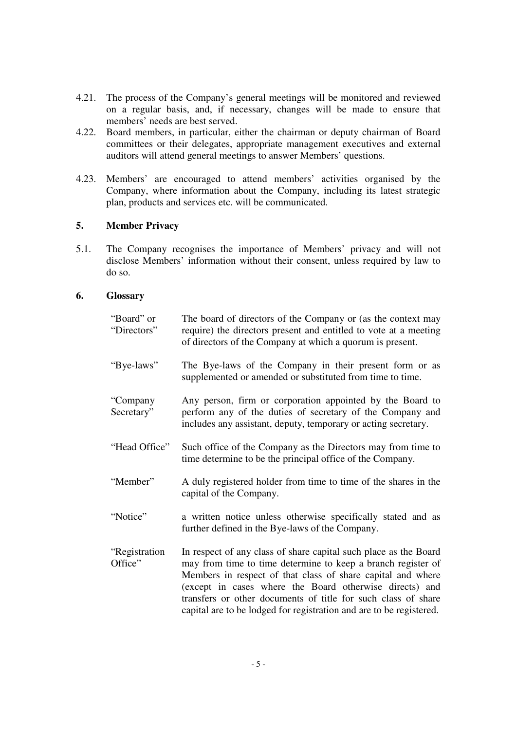- 4.21. The process of the Company's general meetings will be monitored and reviewed on a regular basis, and, if necessary, changes will be made to ensure that members' needs are best served.
- 4.22. Board members, in particular, either the chairman or deputy chairman of Board committees or their delegates, appropriate management executives and external auditors will attend general meetings to answer Members' questions.
- 4.23. Members' are encouraged to attend members' activities organised by the Company, where information about the Company, including its latest strategic plan, products and services etc. will be communicated.

## **5. Member Privacy**

5.1. The Company recognises the importance of Members' privacy and will not disclose Members' information without their consent, unless required by law to do so.

### **6. Glossary**

| "Board" or<br>"Directors" | The board of directors of the Company or (as the context may<br>require) the directors present and entitled to vote at a meeting<br>of directors of the Company at which a quorum is present.                                                                                                                                                                                                      |
|---------------------------|----------------------------------------------------------------------------------------------------------------------------------------------------------------------------------------------------------------------------------------------------------------------------------------------------------------------------------------------------------------------------------------------------|
| "Bye-laws"                | The Bye-laws of the Company in their present form or as<br>supplemented or amended or substituted from time to time.                                                                                                                                                                                                                                                                               |
| "Company<br>Secretary"    | Any person, firm or corporation appointed by the Board to<br>perform any of the duties of secretary of the Company and<br>includes any assistant, deputy, temporary or acting secretary.                                                                                                                                                                                                           |
| "Head Office"             | Such office of the Company as the Directors may from time to<br>time determine to be the principal office of the Company.                                                                                                                                                                                                                                                                          |
| "Member"                  | A duly registered holder from time to time of the shares in the<br>capital of the Company.                                                                                                                                                                                                                                                                                                         |
| "Notice"                  | a written notice unless otherwise specifically stated and as<br>further defined in the Bye-laws of the Company.                                                                                                                                                                                                                                                                                    |
| "Registration<br>Office"  | In respect of any class of share capital such place as the Board<br>may from time to time determine to keep a branch register of<br>Members in respect of that class of share capital and where<br>(except in cases where the Board otherwise directs) and<br>transfers or other documents of title for such class of share<br>capital are to be lodged for registration and are to be registered. |